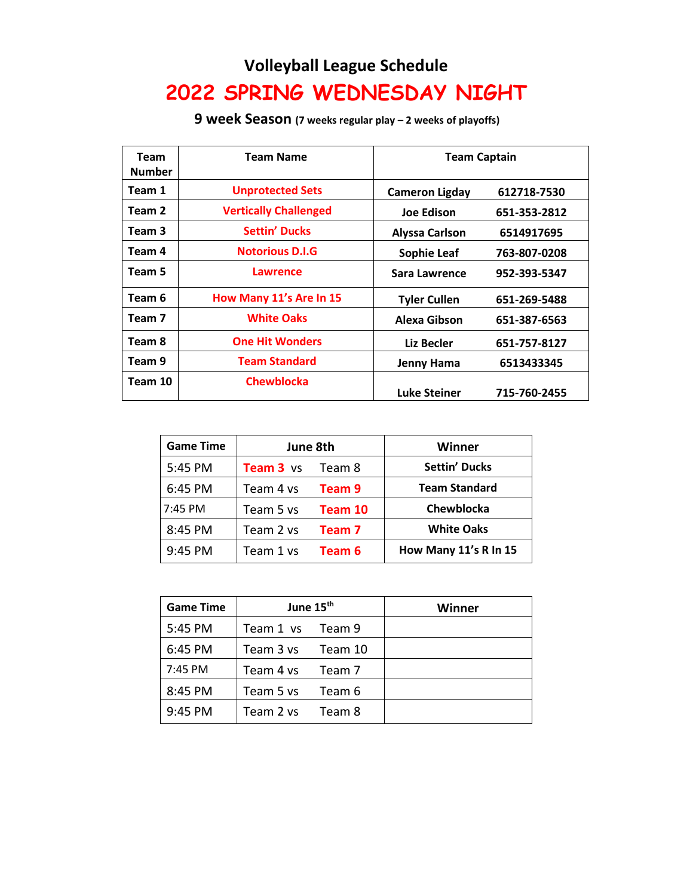## **Volleyball League Schedule 2022 SPRING WEDNESDAY NIGHT**

**9 week Season (7 weeks regular play – 2 weeks of playoffs)**

| Team<br><b>Number</b> | <b>Team Name</b>             | <b>Team Captain</b>   |              |
|-----------------------|------------------------------|-----------------------|--------------|
| Team 1                | <b>Unprotected Sets</b>      | <b>Cameron Ligday</b> | 612718-7530  |
| Team 2                | <b>Vertically Challenged</b> | <b>Joe Edison</b>     | 651-353-2812 |
| Team 3                | <b>Settin' Ducks</b>         | <b>Alyssa Carlson</b> | 6514917695   |
| Team 4                | <b>Notorious D.I.G</b>       | Sophie Leaf           | 763-807-0208 |
| Team 5                | <b>Lawrence</b>              | Sara Lawrence         | 952-393-5347 |
| Team 6                | How Many 11's Are In 15      | <b>Tyler Cullen</b>   | 651-269-5488 |
| Team 7                | <b>White Oaks</b>            | Alexa Gibson          | 651-387-6563 |
| Team 8                | <b>One Hit Wonders</b>       | Liz Becler            | 651-757-8127 |
| Team 9                | <b>Team Standard</b>         | Jenny Hama            | 6513433345   |
| Team 10               | <b>Chewblocka</b>            | <b>Luke Steiner</b>   | 715-760-2455 |

| <b>Game Time</b> | June 8th         |         | Winner                |
|------------------|------------------|---------|-----------------------|
| 5:45 PM          | <b>Team 3</b> vs | Team 8  | <b>Settin' Ducks</b>  |
| 6:45 PM          | Team 4 vs        | Team 9  | <b>Team Standard</b>  |
| 7:45 PM          | Team 5 vs        | Team 10 | Chewblocka            |
| 8:45 PM          | Team 2 vs        | Team 7  | <b>White Oaks</b>     |
| 9:45 PM          | Team 1 vs        | Team 6  | How Many 11's R In 15 |

| <b>Game Time</b> | June 15 <sup>th</sup> |         | Winner |
|------------------|-----------------------|---------|--------|
| 5:45 PM          | Team 1 vs Team 9      |         |        |
| 6:45 PM          | Team 3 vs             | Team 10 |        |
| 7:45 PM          | Team 4 vs             | Team 7  |        |
| 8:45 PM          | Team 5 vs             | Team 6  |        |
| 9:45 PM          | Team 2 vs             | Team 8  |        |